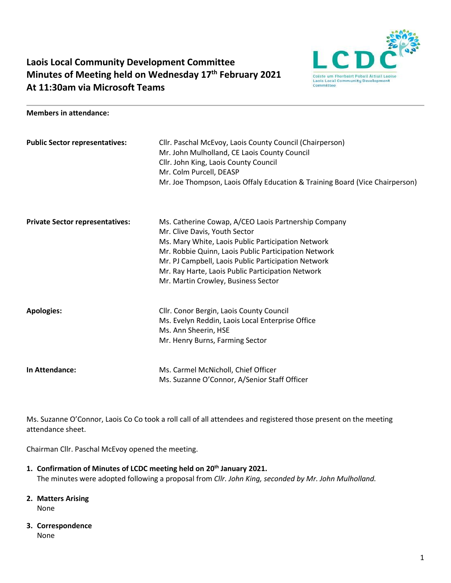

# **Laois Local Community Development Committee Minutes of Meeting held on Wednesday 17th February 2021 At 11:30am via Microsoft Teams**

#### **Members in attendance:**

| <b>Public Sector representatives:</b>  | Cllr. Paschal McEvoy, Laois County Council (Chairperson)<br>Mr. John Mulholland, CE Laois County Council<br>Cllr. John King, Laois County Council<br>Mr. Colm Purcell, DEASP<br>Mr. Joe Thompson, Laois Offaly Education & Training Board (Vice Chairperson)                                                                                           |
|----------------------------------------|--------------------------------------------------------------------------------------------------------------------------------------------------------------------------------------------------------------------------------------------------------------------------------------------------------------------------------------------------------|
| <b>Private Sector representatives:</b> | Ms. Catherine Cowap, A/CEO Laois Partnership Company<br>Mr. Clive Davis, Youth Sector<br>Ms. Mary White, Laois Public Participation Network<br>Mr. Robbie Quinn, Laois Public Participation Network<br>Mr. PJ Campbell, Laois Public Participation Network<br>Mr. Ray Harte, Laois Public Participation Network<br>Mr. Martin Crowley, Business Sector |
| <b>Apologies:</b>                      | Cllr. Conor Bergin, Laois County Council<br>Ms. Evelyn Reddin, Laois Local Enterprise Office<br>Ms. Ann Sheerin, HSE<br>Mr. Henry Burns, Farming Sector                                                                                                                                                                                                |
| In Attendance:                         | Ms. Carmel McNicholl, Chief Officer<br>Ms. Suzanne O'Connor, A/Senior Staff Officer                                                                                                                                                                                                                                                                    |

Ms. Suzanne O'Connor, Laois Co Co took a roll call of all attendees and registered those present on the meeting attendance sheet.

Chairman Cllr. Paschal McEvoy opened the meeting.

- **1. Confirmation of Minutes of LCDC meeting held on 20th January 2021.** The minutes were adopted following a proposal from *Cllr. John King, seconded by Mr. John Mulholland.*
- **2. Matters Arising** None
- **3. Correspondence**

None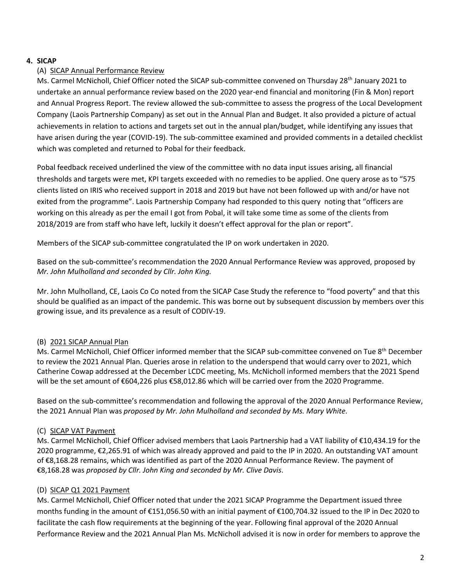# **4. SICAP**

## (A) SICAP Annual Performance Review

Ms. Carmel McNicholl, Chief Officer noted the SICAP sub-committee convened on Thursday 28<sup>th</sup> January 2021 to undertake an annual performance review based on the 2020 year-end financial and monitoring (Fin & Mon) report and Annual Progress Report. The review allowed the sub-committee to assess the progress of the Local Development Company (Laois Partnership Company) as set out in the Annual Plan and Budget. It also provided a picture of actual achievements in relation to actions and targets set out in the annual plan/budget, while identifying any issues that have arisen during the year (COVID-19). The sub-committee examined and provided comments in a detailed checklist which was completed and returned to Pobal for their feedback.

Pobal feedback received underlined the view of the committee with no data input issues arising, all financial thresholds and targets were met, KPI targets exceeded with no remedies to be applied. One query arose as to "575 clients listed on IRIS who received support in 2018 and 2019 but have not been followed up with and/or have not exited from the programme". Laois Partnership Company had responded to this query noting that "officers are working on this already as per the email I got from Pobal, it will take some time as some of the clients from 2018/2019 are from staff who have left, luckily it doesn't effect approval for the plan or report".

Members of the SICAP sub-committee congratulated the IP on work undertaken in 2020.

Based on the sub-committee's recommendation the 2020 Annual Performance Review was approved, proposed by *Mr. John Mulholland and seconded by Cllr. John King.* 

Mr. John Mulholland, CE, Laois Co Co noted from the SICAP Case Study the reference to "food poverty" and that this should be qualified as an impact of the pandemic. This was borne out by subsequent discussion by members over this growing issue, and its prevalence as a result of CODIV-19.

# (B) 2021 SICAP Annual Plan

Ms. Carmel McNicholl, Chief Officer informed member that the SICAP sub-committee convened on Tue 8<sup>th</sup> December to review the 2021 Annual Plan. Queries arose in relation to the underspend that would carry over to 2021, which Catherine Cowap addressed at the December LCDC meeting, Ms. McNicholl informed members that the 2021 Spend will be the set amount of €604,226 plus €58,012.86 which will be carried over from the 2020 Programme.

Based on the sub-committee's recommendation and following the approval of the 2020 Annual Performance Review, the 2021 Annual Plan was *proposed by Mr. John Mulholland and seconded by Ms. Mary White.* 

#### (C) SICAP VAT Payment

Ms. Carmel McNicholl, Chief Officer advised members that Laois Partnership had a VAT liability of €10,434.19 for the 2020 programme, €2,265.91 of which was already approved and paid to the IP in 2020. An outstanding VAT amount of €8,168.28 remains, which was identified as part of the 2020 Annual Performance Review. The payment of €8,168.28 was *proposed by Cllr. John King and seconded by Mr. Clive Davis*.

#### (D) SICAP Q1 2021 Payment

Ms. Carmel McNicholl, Chief Officer noted that under the 2021 SICAP Programme the Department issued three months funding in the amount of €151,056.50 with an initial payment of €100,704.32 issued to the IP in Dec 2020 to facilitate the cash flow requirements at the beginning of the year. Following final approval of the 2020 Annual Performance Review and the 2021 Annual Plan Ms. McNicholl advised it is now in order for members to approve the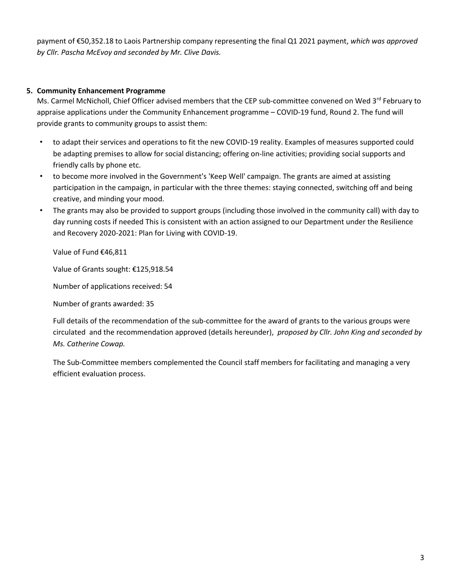payment of €50,352.18 to Laois Partnership company representing the final Q1 2021 payment, *which was approved by Cllr. Pascha McEvoy and seconded by Mr. Clive Davis.* 

### **5. Community Enhancement Programme**

Ms. Carmel McNicholl, Chief Officer advised members that the CEP sub-committee convened on Wed 3rd February to appraise applications under the Community Enhancement programme – COVID-19 fund, Round 2. The fund will provide grants to community groups to assist them:

- to adapt their services and operations to fit the new COVID-19 reality. Examples of measures supported could be adapting premises to allow for social distancing; offering on-line activities; providing social supports and friendly calls by phone etc.
- to become more involved in the Government's 'Keep Well' campaign. The grants are aimed at assisting participation in the campaign, in particular with the three themes: staying connected, switching off and being creative, and minding your mood.
- The grants may also be provided to support groups (including those involved in the community call) with day to day running costs if needed This is consistent with an action assigned to our Department under the Resilience and Recovery 2020-2021: Plan for Living with COVID-19.

Value of Fund €46,811

Value of Grants sought: €125,918.54

Number of applications received: 54

Number of grants awarded: 35

Full details of the recommendation of the sub-committee for the award of grants to the various groups were circulated and the recommendation approved (details hereunder), *proposed by Cllr. John King and seconded by Ms. Catherine Cowap.*

The Sub-Committee members complemented the Council staff members for facilitating and managing a very efficient evaluation process.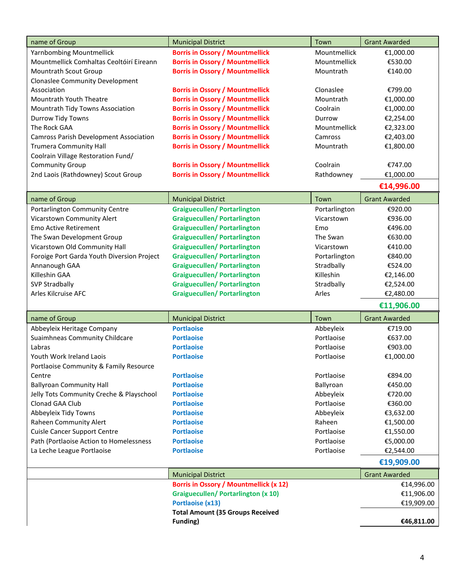| name of Group                                 | <b>Municipal District</b>                     | Town          | <b>Grant Awarded</b> |
|-----------------------------------------------|-----------------------------------------------|---------------|----------------------|
| Yarnbombing Mountmellick                      | <b>Borris in Ossory / Mountmellick</b>        | Mountmellick  | €1,000.00            |
| Mountmellick Comhaltas Ceoltóirí Eireann      | <b>Borris in Ossory / Mountmellick</b>        | Mountmellick  | €530.00              |
| Mountrath Scout Group                         | <b>Borris in Ossory / Mountmellick</b>        | Mountrath     | €140.00              |
| <b>Clonaslee Community Development</b>        |                                               |               |                      |
| Association                                   | <b>Borris in Ossory / Mountmellick</b>        | Clonaslee     | €799.00              |
| <b>Mountrath Youth Theatre</b>                | <b>Borris in Ossory / Mountmellick</b>        | Mountrath     | €1,000.00            |
| Mountrath Tidy Towns Association              | <b>Borris in Ossory / Mountmellick</b>        | Coolrain      | €1,000.00            |
| Durrow Tidy Towns                             | <b>Borris in Ossory / Mountmellick</b>        | Durrow        | €2,254.00            |
| The Rock GAA                                  | <b>Borris in Ossory / Mountmellick</b>        | Mountmellick  | €2,323.00            |
| <b>Camross Parish Development Association</b> | <b>Borris in Ossory / Mountmellick</b>        | Camross       | €2,403.00            |
| <b>Trumera Community Hall</b>                 | <b>Borris in Ossory / Mountmellick</b>        | Mountrath     | €1,800.00            |
| Coolrain Village Restoration Fund/            |                                               |               |                      |
| <b>Community Group</b>                        | <b>Borris in Ossory / Mountmellick</b>        | Coolrain      | €747.00              |
| 2nd Laois (Rathdowney) Scout Group            | <b>Borris in Ossory / Mountmellick</b>        | Rathdowney    | €1,000.00            |
|                                               |                                               |               | €14,996.00           |
| name of Group                                 | <b>Municipal District</b>                     | Town          | <b>Grant Awarded</b> |
| Portarlington Community Centre                | <b>Graiguecullen/ Portarlington</b>           | Portarlington | €920.00              |
| Vicarstown Community Alert                    | <b>Graiguecullen/ Portarlington</b>           | Vicarstown    | €936.00              |
| <b>Emo Active Retirement</b>                  | <b>Graiguecullen/ Portarlington</b>           | Emo           | €496.00              |
| The Swan Development Group                    | <b>Graiguecullen/ Portarlington</b>           | The Swan      | €630.00              |
| Vicarstown Old Community Hall                 | <b>Graiguecullen/ Portarlington</b>           | Vicarstown    | €410.00              |
| Foroige Port Garda Youth Diversion Project    | <b>Graiguecullen/ Portarlington</b>           | Portarlington | €840.00              |
| Annanough GAA                                 | <b>Graiguecullen/ Portarlington</b>           | Stradbally    | €524.00              |
| Killeshin GAA                                 | <b>Graiguecullen/ Portarlington</b>           | Killeshin     | €2,146.00            |
| <b>SVP Stradbally</b>                         | <b>Graiguecullen/ Portarlington</b>           | Stradbally    | €2,524.00            |
| Arles Kilcruise AFC                           | <b>Graiguecullen/ Portarlington</b>           | Arles         | €2,480.00            |
|                                               |                                               |               | €11,906.00           |
| name of Group                                 | <b>Municipal District</b>                     | Town          | <b>Grant Awarded</b> |
| Abbeyleix Heritage Company                    | <b>Portlaoise</b>                             | Abbeyleix     | €719.00              |
| Suaimhneas Community Childcare                | <b>Portlaoise</b>                             | Portlaoise    | €637.00              |
| Labras                                        | <b>Portlaoise</b>                             | Portlaoise    | €903.00              |
| Youth Work Ireland Laois                      | <b>Portlaoise</b>                             | Portlaoise    | €1,000.00            |
| Portlaoise Community & Family Resource        |                                               |               |                      |
| Centre                                        | <b>Portlaoise</b>                             | Portlaoise    | €894.00              |
| <b>Ballyroan Community Hall</b>               | <b>Portlaoise</b>                             | Ballyroan     | €450.00              |
| Jelly Tots Community Creche & Playschool      | <b>Portlaoise</b>                             | Abbeyleix     | €720.00              |
| Clonad GAA Club                               | <b>Portlaoise</b>                             | Portlaoise    | €360.00              |
| Abbeyleix Tidy Towns                          | <b>Portlaoise</b>                             | Abbeyleix     | €3,632.00            |
| Raheen Community Alert                        | <b>Portlaoise</b>                             | Raheen        | €1,500.00            |
| <b>Cuisle Cancer Support Centre</b>           | <b>Portlaoise</b>                             | Portlaoise    | €1,550.00            |
| Path (Portlaoise Action to Homelessness       | <b>Portlaoise</b>                             | Portlaoise    | €5,000.00            |
| La Leche League Portlaoise                    | <b>Portlaoise</b>                             | Portlaoise    | €2,544.00            |
|                                               |                                               |               | €19,909.00           |
|                                               | <b>Municipal District</b>                     |               | <b>Grant Awarded</b> |
|                                               | <b>Borris in Ossory / Mountmellick (x 12)</b> |               | €14,996.00           |
|                                               | <b>Graiguecullen/ Portarlington (x 10)</b>    |               | €11,906.00           |
|                                               | <b>Portlaoise (x13)</b>                       |               | €19,909.00           |
|                                               | <b>Total Amount (35 Groups Received</b>       |               |                      |
|                                               | <b>Funding)</b>                               |               | €46,811.00           |